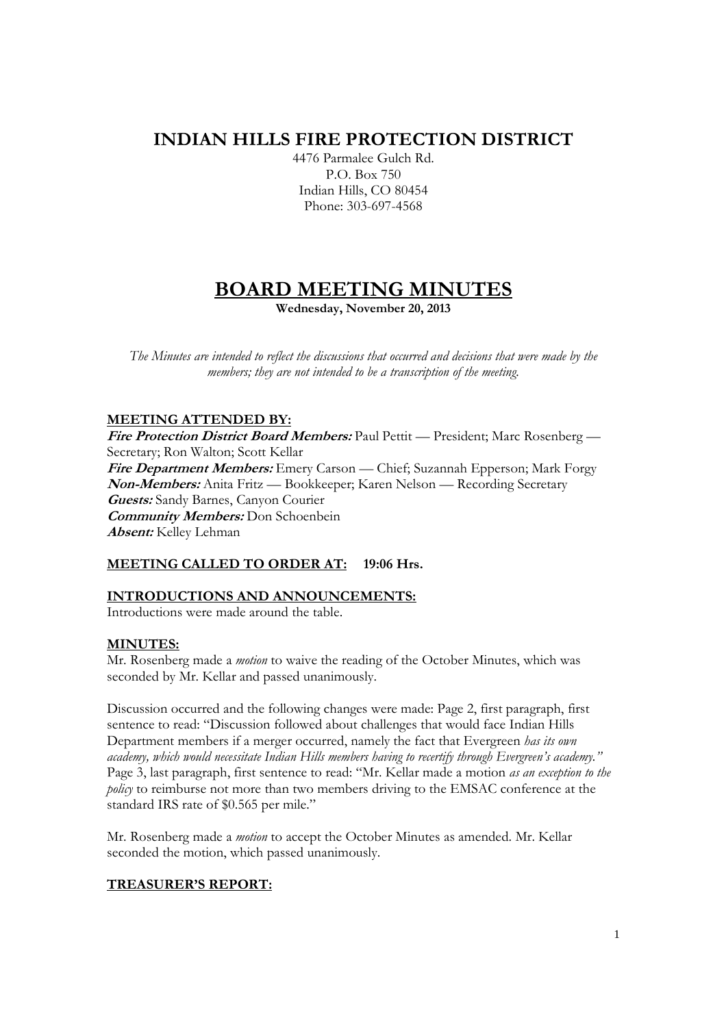# **INDIAN HILLS FIRE PROTECTION DISTRICT**

4476 Parmalee Gulch Rd. P.O. Box 750 Indian Hills, CO 80454 Phone: 303-697-4568

# **BOARD MEETING MINUTES**

**Wednesday, November 20, 2013** 

*The Minutes are intended to reflect the discussions that occurred and decisions that were made by the members; they are not intended to be a transcription of the meeting.* 

## **MEETING ATTENDED BY:**

**Fire Protection District Board Members:** Paul Pettit — President; Marc Rosenberg — Secretary; Ron Walton; Scott Kellar **Fire Department Members:** Emery Carson — Chief; Suzannah Epperson; Mark Forgy **Non-Members:** Anita Fritz — Bookkeeper; Karen Nelson — Recording Secretary **Guests:** Sandy Barnes, Canyon Courier **Community Members:** Don Schoenbein **Absent:** Kelley Lehman

# **MEETING CALLED TO ORDER AT: 19:06 Hrs.**

# **INTRODUCTIONS AND ANNOUNCEMENTS:**

Introductions were made around the table.

## **MINUTES:**

Mr. Rosenberg made a *motion* to waive the reading of the October Minutes, which was seconded by Mr. Kellar and passed unanimously.

Discussion occurred and the following changes were made: Page 2, first paragraph, first sentence to read: "Discussion followed about challenges that would face Indian Hills Department members if a merger occurred, namely the fact that Evergreen *has its own academy, which would necessitate Indian Hills members having to recertify through Evergreen's academy."* Page 3, last paragraph, first sentence to read: "Mr. Kellar made a motion *as an exception to the policy* to reimburse not more than two members driving to the EMSAC conference at the standard IRS rate of \$0.565 per mile."

Mr. Rosenberg made a *motion* to accept the October Minutes as amended. Mr. Kellar seconded the motion, which passed unanimously.

## **TREASURER'S REPORT:**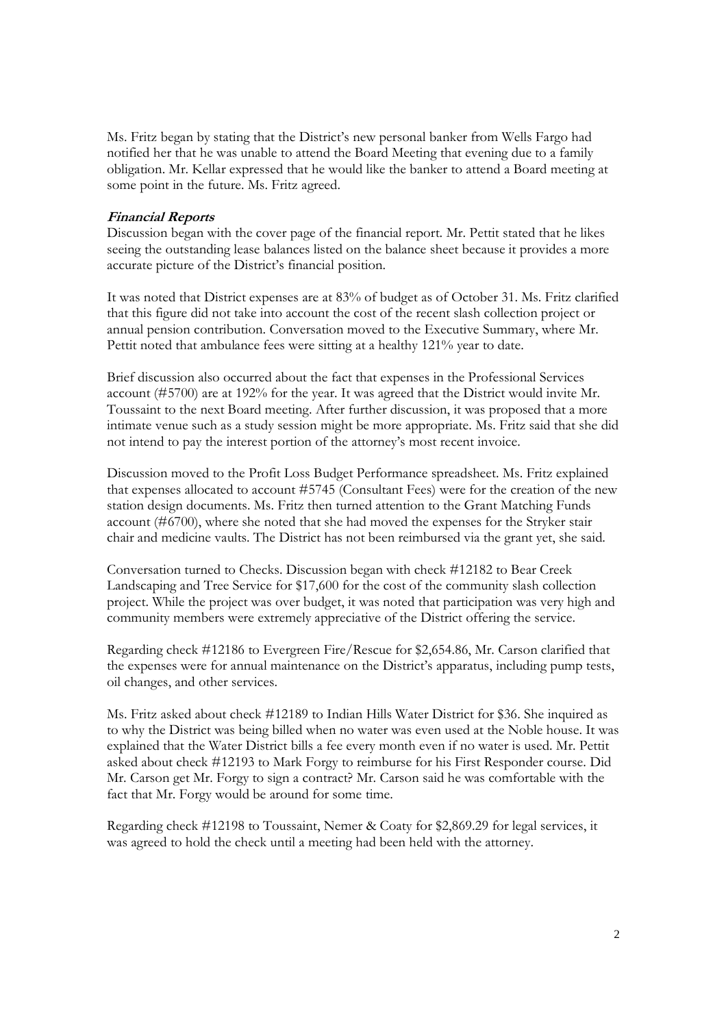Ms. Fritz began by stating that the District's new personal banker from Wells Fargo had notified her that he was unable to attend the Board Meeting that evening due to a family obligation. Mr. Kellar expressed that he would like the banker to attend a Board meeting at some point in the future. Ms. Fritz agreed.

#### **Financial Reports**

Discussion began with the cover page of the financial report. Mr. Pettit stated that he likes seeing the outstanding lease balances listed on the balance sheet because it provides a more accurate picture of the District's financial position.

It was noted that District expenses are at 83% of budget as of October 31. Ms. Fritz clarified that this figure did not take into account the cost of the recent slash collection project or annual pension contribution. Conversation moved to the Executive Summary, where Mr. Pettit noted that ambulance fees were sitting at a healthy 121% year to date.

Brief discussion also occurred about the fact that expenses in the Professional Services account (#5700) are at 192% for the year. It was agreed that the District would invite Mr. Toussaint to the next Board meeting. After further discussion, it was proposed that a more intimate venue such as a study session might be more appropriate. Ms. Fritz said that she did not intend to pay the interest portion of the attorney's most recent invoice.

Discussion moved to the Profit Loss Budget Performance spreadsheet. Ms. Fritz explained that expenses allocated to account #5745 (Consultant Fees) were for the creation of the new station design documents. Ms. Fritz then turned attention to the Grant Matching Funds account (#6700), where she noted that she had moved the expenses for the Stryker stair chair and medicine vaults. The District has not been reimbursed via the grant yet, she said.

Conversation turned to Checks. Discussion began with check #12182 to Bear Creek Landscaping and Tree Service for \$17,600 for the cost of the community slash collection project. While the project was over budget, it was noted that participation was very high and community members were extremely appreciative of the District offering the service.

Regarding check #12186 to Evergreen Fire/Rescue for \$2,654.86, Mr. Carson clarified that the expenses were for annual maintenance on the District's apparatus, including pump tests, oil changes, and other services.

Ms. Fritz asked about check #12189 to Indian Hills Water District for \$36. She inquired as to why the District was being billed when no water was even used at the Noble house. It was explained that the Water District bills a fee every month even if no water is used. Mr. Pettit asked about check #12193 to Mark Forgy to reimburse for his First Responder course. Did Mr. Carson get Mr. Forgy to sign a contract? Mr. Carson said he was comfortable with the fact that Mr. Forgy would be around for some time.

Regarding check #12198 to Toussaint, Nemer & Coaty for \$2,869.29 for legal services, it was agreed to hold the check until a meeting had been held with the attorney.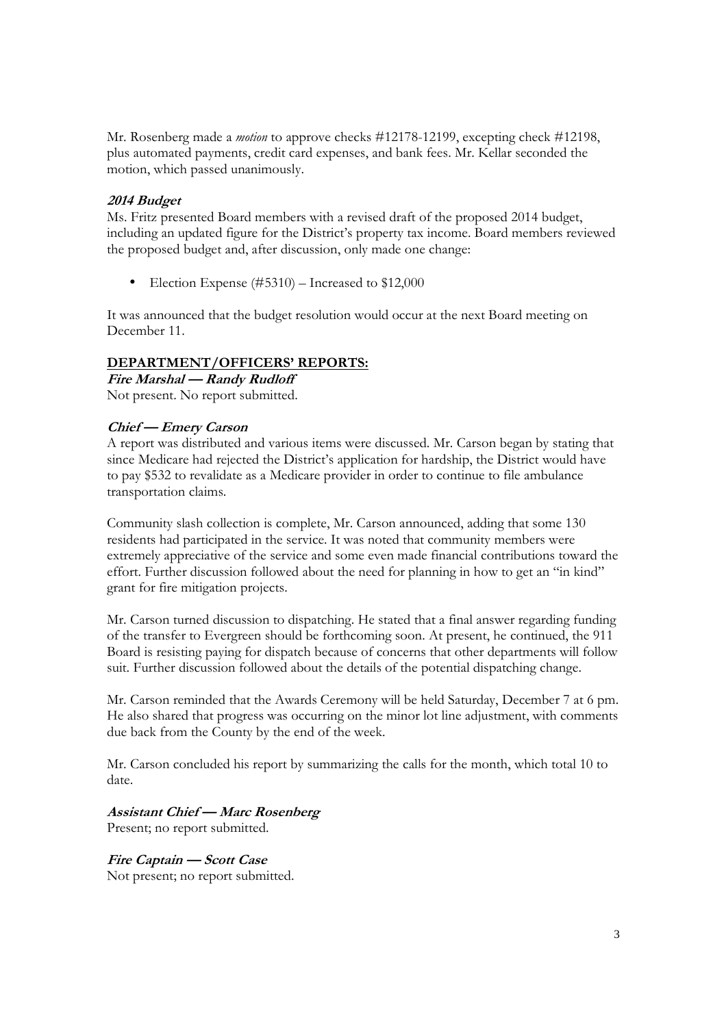Mr. Rosenberg made a *motion* to approve checks #12178-12199, excepting check #12198, plus automated payments, credit card expenses, and bank fees. Mr. Kellar seconded the motion, which passed unanimously.

## **2014 Budget**

Ms. Fritz presented Board members with a revised draft of the proposed 2014 budget, including an updated figure for the District's property tax income. Board members reviewed the proposed budget and, after discussion, only made one change:

• Election Expense (#5310) – Increased to \$12,000

It was announced that the budget resolution would occur at the next Board meeting on December 11.

## **DEPARTMENT/OFFICERS' REPORTS:**

**Fire Marshal — Randy Rudloff** 

Not present. No report submitted.

#### **Chief — Emery Carson**

A report was distributed and various items were discussed. Mr. Carson began by stating that since Medicare had rejected the District's application for hardship, the District would have to pay \$532 to revalidate as a Medicare provider in order to continue to file ambulance transportation claims.

Community slash collection is complete, Mr. Carson announced, adding that some 130 residents had participated in the service. It was noted that community members were extremely appreciative of the service and some even made financial contributions toward the effort. Further discussion followed about the need for planning in how to get an "in kind" grant for fire mitigation projects.

Mr. Carson turned discussion to dispatching. He stated that a final answer regarding funding of the transfer to Evergreen should be forthcoming soon. At present, he continued, the 911 Board is resisting paying for dispatch because of concerns that other departments will follow suit. Further discussion followed about the details of the potential dispatching change.

Mr. Carson reminded that the Awards Ceremony will be held Saturday, December 7 at 6 pm. He also shared that progress was occurring on the minor lot line adjustment, with comments due back from the County by the end of the week.

Mr. Carson concluded his report by summarizing the calls for the month, which total 10 to date.

## **Assistant Chief — Marc Rosenberg**

Present; no report submitted.

## **Fire Captain — Scott Case**

Not present; no report submitted.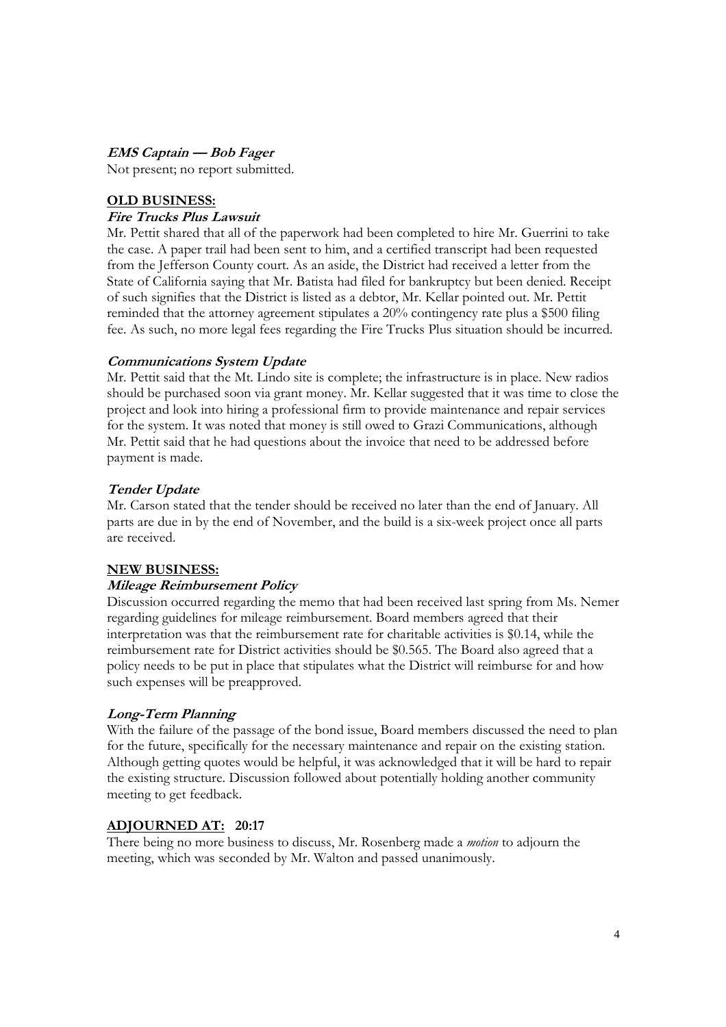**EMS Captain — Bob Fager**

Not present; no report submitted.

#### **OLD BUSINESS:**

#### **Fire Trucks Plus Lawsuit**

Mr. Pettit shared that all of the paperwork had been completed to hire Mr. Guerrini to take the case. A paper trail had been sent to him, and a certified transcript had been requested from the Jefferson County court. As an aside, the District had received a letter from the State of California saying that Mr. Batista had filed for bankruptcy but been denied. Receipt of such signifies that the District is listed as a debtor, Mr. Kellar pointed out. Mr. Pettit reminded that the attorney agreement stipulates a 20% contingency rate plus a \$500 filing fee. As such, no more legal fees regarding the Fire Trucks Plus situation should be incurred.

#### **Communications System Update**

Mr. Pettit said that the Mt. Lindo site is complete; the infrastructure is in place. New radios should be purchased soon via grant money. Mr. Kellar suggested that it was time to close the project and look into hiring a professional firm to provide maintenance and repair services for the system. It was noted that money is still owed to Grazi Communications, although Mr. Pettit said that he had questions about the invoice that need to be addressed before payment is made.

#### **Tender Update**

Mr. Carson stated that the tender should be received no later than the end of January. All parts are due in by the end of November, and the build is a six-week project once all parts are received.

#### **NEW BUSINESS:**

#### **Mileage Reimbursement Policy**

Discussion occurred regarding the memo that had been received last spring from Ms. Nemer regarding guidelines for mileage reimbursement. Board members agreed that their interpretation was that the reimbursement rate for charitable activities is \$0.14, while the reimbursement rate for District activities should be \$0.565. The Board also agreed that a policy needs to be put in place that stipulates what the District will reimburse for and how such expenses will be preapproved.

## **Long-Term Planning**

With the failure of the passage of the bond issue, Board members discussed the need to plan for the future, specifically for the necessary maintenance and repair on the existing station. Although getting quotes would be helpful, it was acknowledged that it will be hard to repair the existing structure. Discussion followed about potentially holding another community meeting to get feedback.

## **ADJOURNED AT: 20:17**

There being no more business to discuss, Mr. Rosenberg made a *motion* to adjourn the meeting, which was seconded by Mr. Walton and passed unanimously.